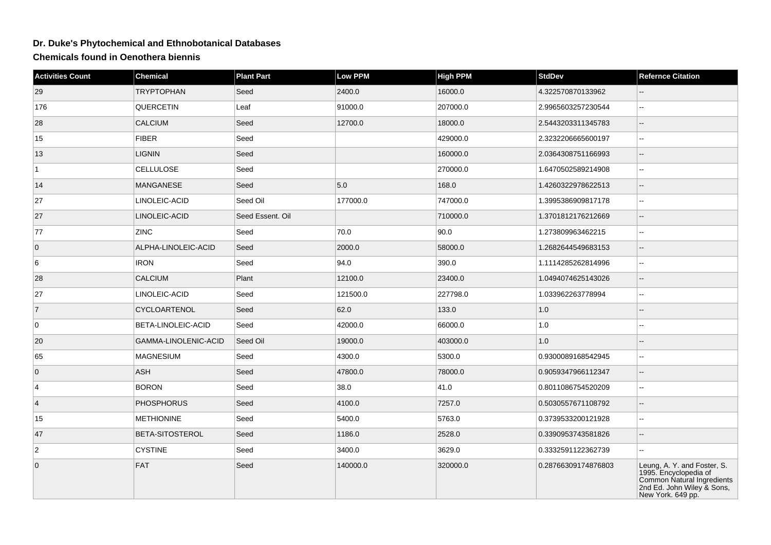## **Dr. Duke's Phytochemical and Ethnobotanical Databases**

**Chemicals found in Oenothera biennis**

| <b>Activities Count</b> | <b>Chemical</b>        | <b>Plant Part</b> | Low PPM  | <b>High PPM</b> | <b>StdDev</b>       | <b>Refernce Citation</b>                                                                                                              |
|-------------------------|------------------------|-------------------|----------|-----------------|---------------------|---------------------------------------------------------------------------------------------------------------------------------------|
| 29                      | <b>TRYPTOPHAN</b>      | Seed              | 2400.0   | 16000.0         | 4.322570870133962   |                                                                                                                                       |
| 176                     | QUERCETIN              | Leaf              | 91000.0  | 207000.0        | 2.9965603257230544  | $\overline{a}$                                                                                                                        |
| 28                      | <b>CALCIUM</b>         | Seed              | 12700.0  | 18000.0         | 2.5443203311345783  |                                                                                                                                       |
| 15                      | <b>FIBER</b>           | Seed              |          | 429000.0        | 2.3232206665600197  | --                                                                                                                                    |
| 13                      | <b>LIGNIN</b>          | Seed              |          | 160000.0        | 2.0364308751166993  | --                                                                                                                                    |
| 1                       | <b>CELLULOSE</b>       | Seed              |          | 270000.0        | 1.6470502589214908  | --                                                                                                                                    |
| 14                      | <b>MANGANESE</b>       | Seed              | 5.0      | 168.0           | 1.4260322978622513  | --                                                                                                                                    |
| 27                      | LINOLEIC-ACID          | Seed Oil          | 177000.0 | 747000.0        | 1.3995386909817178  | --                                                                                                                                    |
| 27                      | LINOLEIC-ACID          | Seed Essent. Oil  |          | 710000.0        | 1.3701812176212669  | --                                                                                                                                    |
| 77                      | <b>ZINC</b>            | Seed              | 70.0     | 90.0            | 1.273809963462215   | ۵.                                                                                                                                    |
| $\overline{0}$          | ALPHA-LINOLEIC-ACID    | Seed              | 2000.0   | 58000.0         | 1.2682644549683153  |                                                                                                                                       |
| 6                       | <b>IRON</b>            | Seed              | 94.0     | 390.0           | 1.1114285262814996  | --                                                                                                                                    |
| 28                      | <b>CALCIUM</b>         | Plant             | 12100.0  | 23400.0         | 1.0494074625143026  | $\sim$                                                                                                                                |
| 27                      | LINOLEIC-ACID          | Seed              | 121500.0 | 227798.0        | 1.033962263778994   |                                                                                                                                       |
| $\overline{7}$          | <b>CYCLOARTENOL</b>    | Seed              | 62.0     | 133.0           | 1.0                 |                                                                                                                                       |
| 0                       | BETA-LINOLEIC-ACID     | Seed              | 42000.0  | 66000.0         | 1.0                 |                                                                                                                                       |
| 20                      | GAMMA-LINOLENIC-ACID   | Seed Oil          | 19000.0  | 403000.0        | 1.0                 |                                                                                                                                       |
| 65                      | <b>MAGNESIUM</b>       | Seed              | 4300.0   | 5300.0          | 0.9300089168542945  | $\sim$                                                                                                                                |
| $\overline{0}$          | <b>ASH</b>             | Seed              | 47800.0  | 78000.0         | 0.9059347966112347  | $\overline{\phantom{a}}$                                                                                                              |
| $\vert$ 4               | <b>BORON</b>           | Seed              | 38.0     | 41.0            | 0.8011086754520209  |                                                                                                                                       |
| $\vert$ 4               | <b>PHOSPHORUS</b>      | Seed              | 4100.0   | 7257.0          | 0.5030557671108792  |                                                                                                                                       |
| 15                      | <b>METHIONINE</b>      | Seed              | 5400.0   | 5763.0          | 0.3739533200121928  | --                                                                                                                                    |
| 47                      | <b>BETA-SITOSTEROL</b> | Seed              | 1186.0   | 2528.0          | 0.3390953743581826  |                                                                                                                                       |
| $\overline{2}$          | <b>CYSTINE</b>         | Seed              | 3400.0   | 3629.0          | 0.3332591122362739  |                                                                                                                                       |
| $\overline{0}$          | FAT                    | Seed              | 140000.0 | 320000.0        | 0.28766309174876803 | Leung, A. Y. and Foster, S.<br>1995. Encyclopedia of<br>Common Natural Ingredients<br>2nd Ed. John Wiley & Sons,<br>New York. 649 pp. |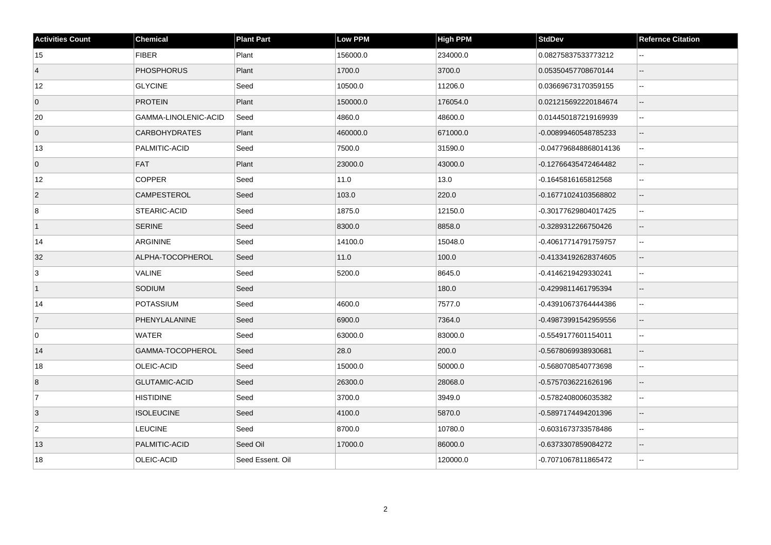| <b>Activities Count</b> | <b>Chemical</b>      | <b>Plant Part</b> | <b>Low PPM</b> | <b>High PPM</b> | <b>StdDev</b>         | <b>Refernce Citation</b> |
|-------------------------|----------------------|-------------------|----------------|-----------------|-----------------------|--------------------------|
| 15                      | <b>FIBER</b>         | Plant             | 156000.0       | 234000.0        | 0.08275837533773212   | $\overline{a}$           |
| $\vert$ 4               | <b>PHOSPHORUS</b>    | Plant             | 1700.0         | 3700.0          | 0.05350457708670144   | $\mathbf{u}$             |
| 12                      | <b>GLYCINE</b>       | Seed              | 10500.0        | 11206.0         | 0.03669673170359155   | $\overline{\phantom{a}}$ |
| $\overline{0}$          | <b>PROTEIN</b>       | Plant             | 150000.0       | 176054.0        | 0.021215692220184674  |                          |
| 20                      | GAMMA-LINOLENIC-ACID | Seed              | 4860.0         | 48600.0         | 0.014450187219169939  |                          |
| $\overline{0}$          | <b>CARBOHYDRATES</b> | Plant             | 460000.0       | 671000.0        | -0.00899460548785233  | $\overline{\phantom{a}}$ |
| 13                      | PALMITIC-ACID        | Seed              | 7500.0         | 31590.0         | -0.047796848868014136 | $\sim$                   |
| $\overline{0}$          | <b>FAT</b>           | Plant             | 23000.0        | 43000.0         | -0.12766435472464482  | $\overline{\phantom{a}}$ |
| 12                      | <b>COPPER</b>        | Seed              | 11.0           | 13.0            | -0.1645816165812568   | $\overline{\phantom{a}}$ |
| $\vert$ 2               | CAMPESTEROL          | Seed              | 103.0          | 220.0           | -0.16771024103568802  | $\overline{\phantom{a}}$ |
| 8                       | <b>STEARIC-ACID</b>  | Seed              | 1875.0         | 12150.0         | -0.30177629804017425  | $\overline{a}$           |
| $\mathbf{1}$            | <b>SERINE</b>        | Seed              | 8300.0         | 8858.0          | -0.3289312266750426   | $\overline{\phantom{a}}$ |
| 14                      | ARGININE             | Seed              | 14100.0        | 15048.0         | -0.40617714791759757  | $\sim$                   |
| 32                      | ALPHA-TOCOPHEROL     | Seed              | 11.0           | 100.0           | -0.41334192628374605  | $\overline{\phantom{a}}$ |
| 3                       | VALINE               | Seed              | 5200.0         | 8645.0          | -0.4146219429330241   | $\overline{\phantom{a}}$ |
| $\vert$ 1               | SODIUM               | Seed              |                | 180.0           | -0.4299811461795394   |                          |
| 14                      | <b>POTASSIUM</b>     | Seed              | 4600.0         | 7577.0          | -0.43910673764444386  | $\sim$                   |
| $\overline{7}$          | PHENYLALANINE        | Seed              | 6900.0         | 7364.0          | -0.49873991542959556  | $\overline{\phantom{a}}$ |
| $\overline{0}$          | <b>WATER</b>         | Seed              | 63000.0        | 83000.0         | -0.5549177601154011   | $\mathbf{u}$             |
| 14                      | GAMMA-TOCOPHEROL     | Seed              | 28.0           | 200.0           | -0.5678069938930681   | $\overline{\phantom{a}}$ |
| 18                      | OLEIC-ACID           | Seed              | 15000.0        | 50000.0         | -0.5680708540773698   | $\overline{a}$           |
| $\overline{8}$          | <b>GLUTAMIC-ACID</b> | Seed              | 26300.0        | 28068.0         | -0.5757036221626196   |                          |
| $\overline{7}$          | <b>HISTIDINE</b>     | Seed              | 3700.0         | 3949.0          | -0.5782408006035382   | $\sim$                   |
| 3                       | <b>ISOLEUCINE</b>    | Seed              | 4100.0         | 5870.0          | -0.5897174494201396   | $\overline{\phantom{a}}$ |
| $\overline{2}$          | <b>LEUCINE</b>       | Seed              | 8700.0         | 10780.0         | -0.6031673733578486   | 44                       |
| 13                      | PALMITIC-ACID        | Seed Oil          | 17000.0        | 86000.0         | -0.6373307859084272   |                          |
| 18                      | OLEIC-ACID           | Seed Essent. Oil  |                | 120000.0        | -0.7071067811865472   |                          |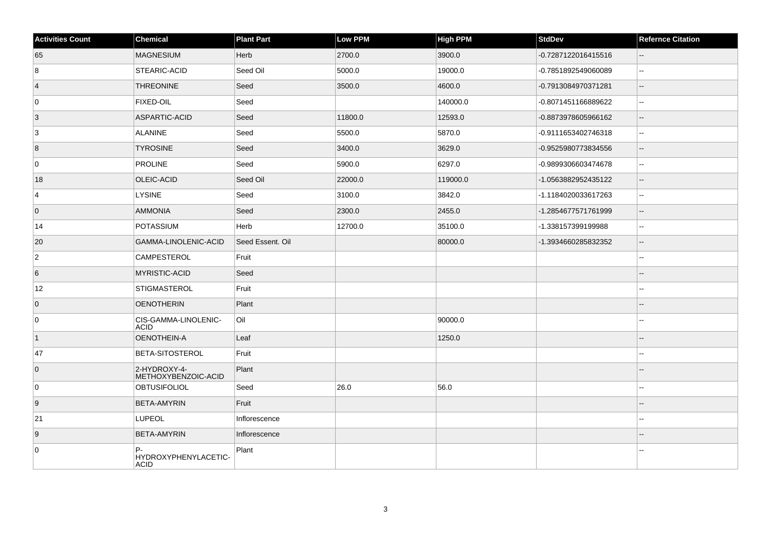| <b>Activities Count</b> | <b>Chemical</b>                           | <b>Plant Part</b> | <b>Low PPM</b> | High PPM | <b>StdDev</b>       | <b>Refernce Citation</b> |
|-------------------------|-------------------------------------------|-------------------|----------------|----------|---------------------|--------------------------|
| 65                      | <b>MAGNESIUM</b>                          | Herb              | 2700.0         | 3900.0   | -0.7287122016415516 | $\overline{\phantom{a}}$ |
| 8                       | STEARIC-ACID                              | Seed Oil          | 5000.0         | 19000.0  | -0.7851892549060089 | $\sim$                   |
| $\vert 4 \vert$         | <b>THREONINE</b>                          | Seed              | 3500.0         | 4600.0   | -0.7913084970371281 | $\overline{\phantom{a}}$ |
| 0                       | <b>FIXED-OIL</b>                          | Seed              |                | 140000.0 | -0.8071451166889622 | $\sim$                   |
| 3                       | ASPARTIC-ACID                             | Seed              | 11800.0        | 12593.0  | -0.8873978605966162 | $\mathbf{u}$             |
| 3                       | <b>ALANINE</b>                            | Seed              | 5500.0         | 5870.0   | -0.9111653402746318 | $\overline{a}$           |
| $\vert 8 \vert$         | <b>TYROSINE</b>                           | Seed              | 3400.0         | 3629.0   | -0.9525980773834556 | $-$                      |
| 0                       | <b>PROLINE</b>                            | Seed              | 5900.0         | 6297.0   | -0.9899306603474678 | $\overline{\phantom{a}}$ |
| 18                      | OLEIC-ACID                                | Seed Oil          | 22000.0        | 119000.0 | -1.0563882952435122 | $\sim$                   |
| 4                       | LYSINE                                    | Seed              | 3100.0         | 3842.0   | -1.1184020033617263 | $\overline{\phantom{a}}$ |
| $\overline{0}$          | <b>AMMONIA</b>                            | Seed              | 2300.0         | 2455.0   | -1.2854677571761999 | $\overline{\phantom{a}}$ |
| 14                      | <b>POTASSIUM</b>                          | Herb              | 12700.0        | 35100.0  | -1.338157399199988  | $\sim$                   |
| 20                      | GAMMA-LINOLENIC-ACID                      | Seed Essent. Oil  |                | 80000.0  | -1.3934660285832352 | $\overline{a}$           |
| $\overline{2}$          | <b>CAMPESTEROL</b>                        | Fruit             |                |          |                     | ä.                       |
| 6                       | <b>MYRISTIC-ACID</b>                      | Seed              |                |          |                     |                          |
| 12                      | <b>STIGMASTEROL</b>                       | Fruit             |                |          |                     |                          |
| $\overline{0}$          | <b>OENOTHERIN</b>                         | Plant             |                |          |                     |                          |
| 0                       | CIS-GAMMA-LINOLENIC-<br><b>ACID</b>       | Oil               |                | 90000.0  |                     |                          |
| $\vert$ 1               | OENOTHEIN-A                               | Leaf              |                | 1250.0   |                     |                          |
| 47                      | BETA-SITOSTEROL                           | Fruit             |                |          |                     |                          |
| $\overline{0}$          | 2-HYDROXY-4-<br>METHOXYBENZOIC-ACID       | Plant             |                |          |                     |                          |
| $\overline{0}$          | <b>OBTUSIFOLIOL</b>                       | Seed              | 26.0           | 56.0     |                     | $-$                      |
| 9                       | <b>BETA-AMYRIN</b>                        | Fruit             |                |          |                     |                          |
| 21                      | <b>LUPEOL</b>                             | Inflorescence     |                |          |                     | ٠.                       |
| 9                       | BETA-AMYRIN                               | Inflorescence     |                |          |                     |                          |
| 0                       | P-<br>HYDROXYPHENYLACETIC-<br><b>ACID</b> | Plant             |                |          |                     |                          |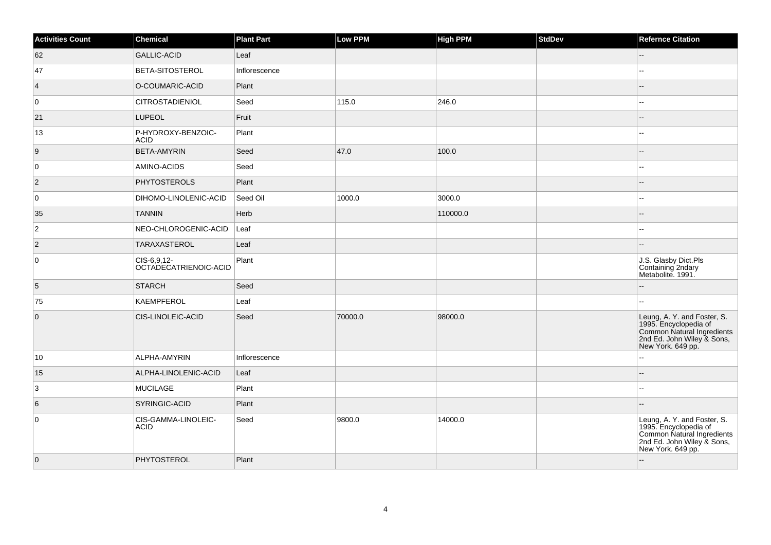| <b>Activities Count</b> | Chemical                             | <b>Plant Part</b> | Low PPM | <b>High PPM</b> | <b>StdDev</b> | <b>Refernce Citation</b>                                                                                                              |
|-------------------------|--------------------------------------|-------------------|---------|-----------------|---------------|---------------------------------------------------------------------------------------------------------------------------------------|
| 62                      | <b>GALLIC-ACID</b>                   | Leaf              |         |                 |               | $-$                                                                                                                                   |
| 47                      | <b>BETA-SITOSTEROL</b>               | Inflorescence     |         |                 |               | Щ,                                                                                                                                    |
| $\vert 4 \vert$         | O-COUMARIC-ACID                      | Plant             |         |                 |               |                                                                                                                                       |
| 0                       | <b>CITROSTADIENIOL</b>               | Seed              | 115.0   | 246.0           |               | --                                                                                                                                    |
| 21                      | <b>LUPEOL</b>                        | Fruit             |         |                 |               | $-$                                                                                                                                   |
| 13                      | P-HYDROXY-BENZOIC-<br><b>ACID</b>    | Plant             |         |                 |               | ц.                                                                                                                                    |
| 9                       | <b>BETA-AMYRIN</b>                   | Seed              | 47.0    | 100.0           |               |                                                                                                                                       |
| 0                       | AMINO-ACIDS                          | Seed              |         |                 |               |                                                                                                                                       |
| $\vert$ 2               | <b>PHYTOSTEROLS</b>                  | Plant             |         |                 |               |                                                                                                                                       |
| 0                       | DIHOMO-LINOLENIC-ACID                | Seed Oil          | 1000.0  | 3000.0          |               | н.                                                                                                                                    |
| 35                      | <b>TANNIN</b>                        | Herb              |         | 110000.0        |               | $-1$                                                                                                                                  |
| $\overline{2}$          | NEO-CHLOROGENIC-ACID                 | Leaf              |         |                 |               |                                                                                                                                       |
| $\vert$ 2               | <b>TARAXASTEROL</b>                  | Leaf              |         |                 |               |                                                                                                                                       |
| 0                       | CIS-6,9,12-<br>OCTADECATRIENOIC-ACID | Plant             |         |                 |               | J.S. Glasby Dict.Pls<br>Containing 2ndary<br>Metabolite. 1991.                                                                        |
| 5                       | <b>STARCH</b>                        | Seed              |         |                 |               |                                                                                                                                       |
| 75                      | <b>KAEMPFEROL</b>                    | Leaf              |         |                 |               | ÷÷.                                                                                                                                   |
| $\overline{0}$          | CIS-LINOLEIC-ACID                    | Seed              | 70000.0 | 98000.0         |               | Leung, A. Y. and Foster, S.<br>1995. Encyclopedia of<br>Common Natural Ingredients<br>2nd Ed. John Wiley & Sons,<br>New York. 649 pp. |
| 10                      | ALPHA-AMYRIN                         | Inflorescence     |         |                 |               | шш.                                                                                                                                   |
| 15                      | ALPHA-LINOLENIC-ACID                 | Leaf              |         |                 |               |                                                                                                                                       |
| 3                       | <b>MUCILAGE</b>                      | Plant             |         |                 |               | L.                                                                                                                                    |
| 6                       | SYRINGIC-ACID                        | Plant             |         |                 |               |                                                                                                                                       |
| 0                       | CIS-GAMMA-LINOLEIC-<br><b>ACID</b>   | Seed              | 9800.0  | 14000.0         |               | Leung, A. Y. and Foster, S.<br>1995. Encyclopedia of<br>Common Natural Ingredients<br>2nd Ed. John Wiley & Sons,<br>New York. 649 pp. |
| $\overline{0}$          | PHYTOSTEROL                          | Plant             |         |                 |               | $-$                                                                                                                                   |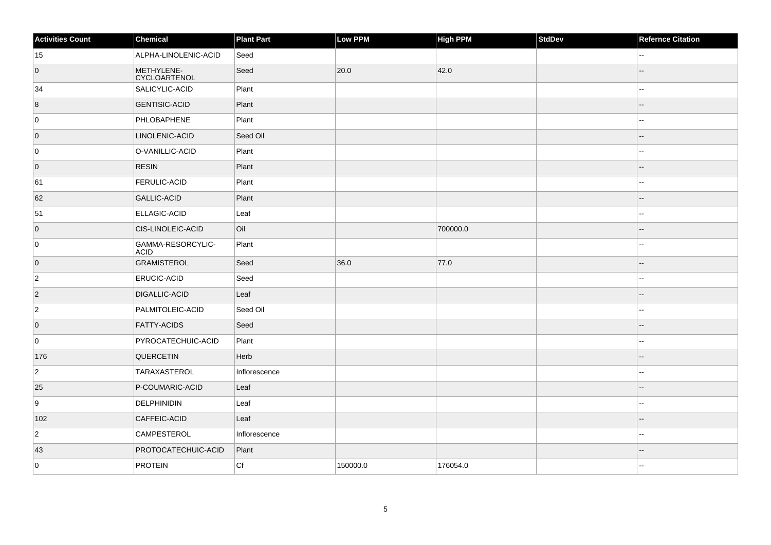| <b>Activities Count</b> | Chemical                          | <b>Plant Part</b> | Low PPM  | <b>High PPM</b> | StdDev | <b>Refernce Citation</b> |
|-------------------------|-----------------------------------|-------------------|----------|-----------------|--------|--------------------------|
| 15                      | ALPHA-LINOLENIC-ACID              | Seed              |          |                 |        | $\overline{\phantom{a}}$ |
| $\overline{0}$          | METHYLENE-<br><b>CYCLOARTENOL</b> | Seed              | 20.0     | 42.0            |        | $-$                      |
| 34                      | SALICYLIC-ACID                    | Plant             |          |                 |        | $\overline{a}$           |
| 8                       | <b>GENTISIC-ACID</b>              | Plant             |          |                 |        | $-$                      |
| 0                       | PHLOBAPHENE                       | Plant             |          |                 |        | $\overline{a}$           |
| $\overline{0}$          | LINOLENIC-ACID                    | Seed Oil          |          |                 |        |                          |
| 0                       | O-VANILLIC-ACID                   | Plant             |          |                 |        | $\sim$                   |
| $\overline{0}$          | <b>RESIN</b>                      | Plant             |          |                 |        |                          |
| 61                      | <b>FERULIC-ACID</b>               | Plant             |          |                 |        | $\overline{\phantom{a}}$ |
| 62                      | <b>GALLIC-ACID</b>                | Plant             |          |                 |        | $-$                      |
| 51                      | <b>ELLAGIC-ACID</b>               | Leaf              |          |                 |        | --                       |
| $\overline{0}$          | CIS-LINOLEIC-ACID                 | Oil               |          | 700000.0        |        | --                       |
| 0                       | GAMMA-RESORCYLIC-<br><b>ACID</b>  | Plant             |          |                 |        | ۵.                       |
| $\overline{0}$          | <b>GRAMISTEROL</b>                | Seed              | 36.0     | 77.0            |        |                          |
| $ 2\rangle$             | <b>ERUCIC-ACID</b>                | Seed              |          |                 |        | $\overline{\phantom{a}}$ |
| $\overline{2}$          | DIGALLIC-ACID                     | Leaf              |          |                 |        |                          |
| $ 2\rangle$             | PALMITOLEIC-ACID                  | Seed Oil          |          |                 |        | Щ,                       |
| $\overline{0}$          | <b>FATTY-ACIDS</b>                | Seed              |          |                 |        |                          |
| 0                       | PYROCATECHUIC-ACID                | Plant             |          |                 |        | ۵.                       |
| 176                     | <b>QUERCETIN</b>                  | Herb              |          |                 |        |                          |
| $ 2\rangle$             | <b>TARAXASTEROL</b>               | Inflorescence     |          |                 |        | $\overline{\phantom{a}}$ |
| 25                      | P-COUMARIC-ACID                   | Leaf              |          |                 |        | $\overline{a}$           |
| 9                       | DELPHINIDIN                       | Leaf              |          |                 |        |                          |
| 102                     | CAFFEIC-ACID                      | Leaf              |          |                 |        |                          |
| $ 2\rangle$             | <b>CAMPESTEROL</b>                | Inflorescence     |          |                 |        | $-1$                     |
| 43                      | PROTOCATECHUIC-ACID               | Plant             |          |                 |        |                          |
| 0                       | <b>PROTEIN</b>                    | Cf                | 150000.0 | 176054.0        |        | --                       |